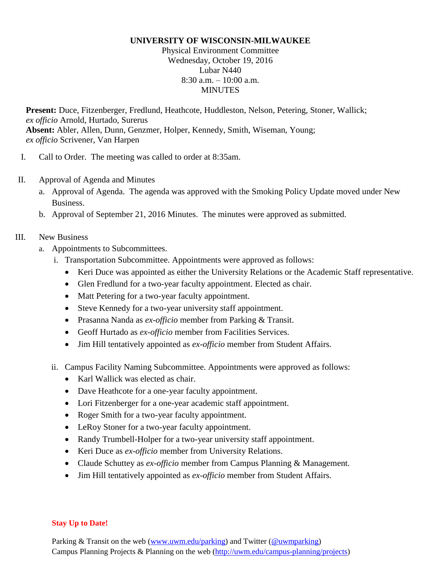#### **UNIVERSITY OF WISCONSIN-MILWAUKEE**

Physical Environment Committee Wednesday, October 19, 2016 Lubar N440  $8:30$  a.m.  $-10:00$  a.m. **MINUTES** 

**Present:** Duce, Fitzenberger, Fredlund, Heathcote, Huddleston, Nelson, Petering, Stoner, Wallick; *ex officio* Arnold, Hurtado, Surerus **Absent:** Abler, Allen, Dunn, Genzmer, Holper, Kennedy, Smith, Wiseman, Young; *ex officio* Scrivener, Van Harpen

- I. Call to Order. The meeting was called to order at 8:35am.
- II. Approval of Agenda and Minutes
	- a. Approval of Agenda. The agenda was approved with the Smoking Policy Update moved under New Business.
	- b. Approval of September 21, 2016 Minutes. The minutes were approved as submitted.

### III. New Business

- a. Appointments to Subcommittees.
	- i. Transportation Subcommittee. Appointments were approved as follows:
		- Keri Duce was appointed as either the University Relations or the Academic Staff representative.
		- Glen Fredlund for a two-year faculty appointment. Elected as chair.
		- Matt Petering for a two-year faculty appointment.
		- Steve Kennedy for a two-year university staff appointment.
		- Prasanna Nanda as *ex-officio* member from Parking & Transit.
		- Geoff Hurtado as *ex-officio* member from Facilities Services.
		- Jim Hill tentatively appointed as *ex-officio* member from Student Affairs.
	- ii. Campus Facility Naming Subcommittee. Appointments were approved as follows:
		- Karl Wallick was elected as chair.
		- Dave Heathcote for a one-year faculty appointment.
		- Lori Fitzenberger for a one-year academic staff appointment.
		- Roger Smith for a two-year faculty appointment.
		- LeRoy Stoner for a two-year faculty appointment.
		- Randy Trumbell-Holper for a two-year university staff appointment.
		- Keri Duce as *ex-officio* member from University Relations.
		- Claude Schuttey as *ex-officio* member from Campus Planning & Management.
		- Jim Hill tentatively appointed as *ex-officio* member from Student Affairs.

#### **Stay Up to Date!**

Parking & Transit on the web [\(www.uwm.edu/parking\)](http://www.uwm.edu/parking) and Twitter [\(@uwmparking\)](http://www.twitter.com/uwmparking) Campus Planning Projects & Planning on the web [\(http://uwm.edu/campus-planning/projects\)](http://uwm.edu/campus-planning/projects)